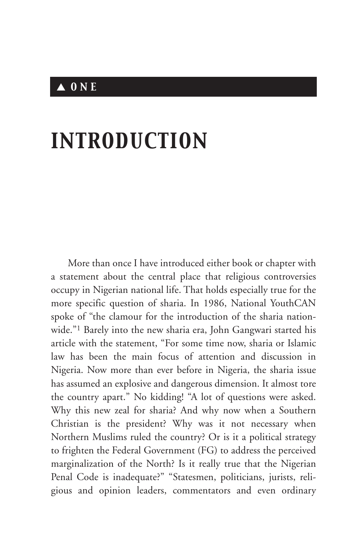## ▲ *ONE*

# *INTRODUCTION*

More than once I have introduced either book or chapter with a statement about the central place that religious controversies occupy in Nigerian national life. That holds especially true for the more specific question of sharia. In 1986, National YouthCAN spoke of "the clamour for the introduction of the sharia nationwide."1 Barely into the new sharia era, John Gangwari started his article with the statement, "For some time now, sharia or Islamic law has been the main focus of attention and discussion in Nigeria. Now more than ever before in Nigeria, the sharia issue has assumed an explosive and dangerous dimension. It almost tore the country apart." No kidding! "A lot of questions were asked. Why this new zeal for sharia? And why now when a Southern Christian is the president? Why was it not necessary when Northern Muslims ruled the country? Or is it a political strategy to frighten the Federal Government (FG) to address the perceived marginalization of the North? Is it really true that the Nigerian Penal Code is inadequate?" "Statesmen, politicians, jurists, religious and opinion leaders, commentators and even ordinary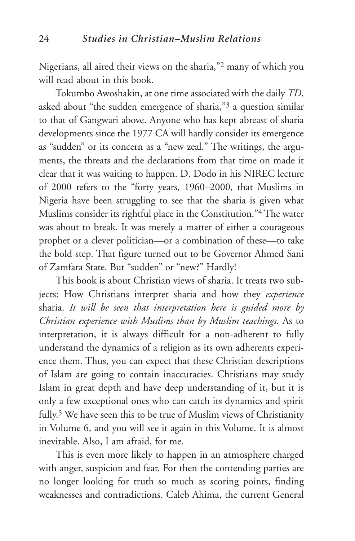Nigerians, all aired their views on the sharia,"2 many of which you will read about in this book.

Tokumbo Awoshakin, at one time associated with the daily *TD*, asked about "the sudden emergence of sharia,"3 a question similar to that of Gangwari above. Anyone who has kept abreast of sharia developments since the 1977 CA will hardly consider its emergence as "sudden" or its concern as a "new zeal." The writings, the arguments, the threats and the declarations from that time on made it clear that it was waiting to happen. D. Dodo in his NIREC lecture of 2000 refers to the "forty years, 1960–2000, that Muslims in Nigeria have been struggling to see that the sharia is given what Muslims consider its rightful place in the Constitution."4 The water was about to break. It was merely a matter of either a courageous prophet or a clever politician—or a combination of these—to take the bold step. That figure turned out to be Governor Ahmed Sani of Zamfara State. But "sudden" or "new?" Hardly!

This book is about Christian views of sharia. It treats two subjects: How Christians interpret sharia and how they *experience* sharia. *It will be seen that interpretation here is guided more by Christian experience with Muslims than by Muslim teachings.* As to interpretation, it is always difficult for a non-adherent to fully understand the dynamics of a religion as its own adherents experience them. Thus, you can expect that these Christian descriptions of Islam are going to contain inaccuracies. Christians may study Islam in great depth and have deep understanding of it, but it is only a few exceptional ones who can catch its dynamics and spirit fully.5 We have seen this to be true of Muslim views of Christianity in Volume 6, and you will see it again in this Volume. It is almost inevitable. Also, I am afraid, for me.

This is even more likely to happen in an atmosphere charged with anger, suspicion and fear. For then the contending parties are no longer looking for truth so much as scoring points, finding weaknesses and contradictions. Caleb Ahima, the current General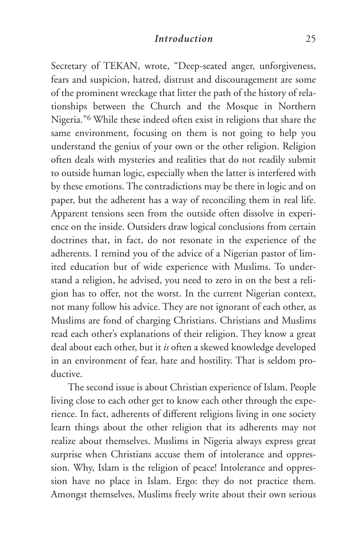Secretary of TEKAN, wrote, "Deep-seated anger, unforgiveness, fears and suspicion, hatred, distrust and discouragement are some of the prominent wreckage that litter the path of the history of relationships between the Church and the Mosque in Northern Nigeria."6 While these indeed often exist in religions that share the same environment, focusing on them is not going to help you understand the genius of your own or the other religion. Religion often deals with mysteries and realities that do not readily submit to outside human logic, especially when the latter is interfered with by these emotions. The contradictions may be there in logic and on paper, but the adherent has a way of reconciling them in real life. Apparent tensions seen from the outside often dissolve in experience on the inside. Outsiders draw logical conclusions from certain doctrines that, in fact, do not resonate in the experience of the adherents. I remind you of the advice of a Nigerian pastor of limited education but of wide experience with Muslims. To understand a religion, he advised, you need to zero in on the best a religion has to offer, not the worst. In the current Nigerian context, not many follow his advice. They are not ignorant of each other, as Muslims are fond of charging Christians. Christians and Muslims read each other's explanations of their religion. They know a great deal about each other, but it *is* often a skewed knowledge developed in an environment of fear, hate and hostility. That is seldom productive.

The second issue is about Christian experience of Islam. People living close to each other get to know each other through the experience. In fact, adherents of different religions living in one society learn things about the other religion that its adherents may not realize about themselves. Muslims in Nigeria always express great surprise when Christians accuse them of intolerance and oppression. Why, Islam is the religion of peace! Intolerance and oppression have no place in Islam. Ergo: they do not practice them. Amongst themselves, Muslims freely write about their own serious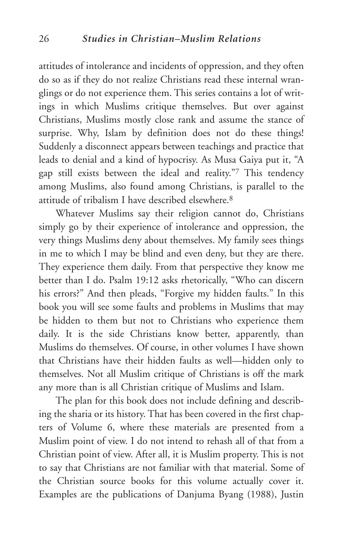attitudes of intolerance and incidents of oppression, and they often do so as if they do not realize Christians read these internal wranglings or do not experience them. This series contains a lot of writings in which Muslims critique themselves. But over against Christians, Muslims mostly close rank and assume the stance of surprise. Why, Islam by definition does not do these things! Suddenly a disconnect appears between teachings and practice that leads to denial and a kind of hypocrisy. As Musa Gaiya put it, "A gap still exists between the ideal and reality."7 This tendency among Muslims, also found among Christians, is parallel to the attitude of tribalism I have described elsewhere.8

Whatever Muslims say their religion cannot do, Christians simply go by their experience of intolerance and oppression, the very things Muslims deny about themselves. My family sees things in me to which I may be blind and even deny, but they are there. They experience them daily. From that perspective they know me better than I do. Psalm 19:12 asks rhetorically, "Who can discern his errors?" And then pleads, "Forgive my hidden faults." In this book you will see some faults and problems in Muslims that may be hidden to them but not to Christians who experience them daily. It is the side Christians know better, apparently, than Muslims do themselves. Of course, in other volumes I have shown that Christians have their hidden faults as well—hidden only to themselves. Not all Muslim critique of Christians is off the mark any more than is all Christian critique of Muslims and Islam.

The plan for this book does not include defining and describing the sharia or its history. That has been covered in the first chapters of Volume 6, where these materials are presented from a Muslim point of view. I do not intend to rehash all of that from a Christian point of view. After all, it is Muslim property. This is not to say that Christians are not familiar with that material. Some of the Christian source books for this volume actually cover it. Examples are the publications of Danjuma Byang (1988), Justin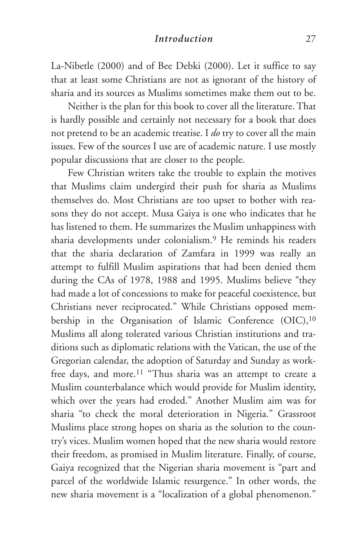La-Nibetle (2000) and of Bee Debki (2000). Let it suffice to say that at least some Christians are not as ignorant of the history of sharia and its sources as Muslims sometimes make them out to be.

Neither is the plan for this book to cover all the literature. That is hardly possible and certainly not necessary for a book that does not pretend to be an academic treatise. I *do* try to cover all the main issues. Few of the sources I use are of academic nature. I use mostly popular discussions that are closer to the people.

Few Christian writers take the trouble to explain the motives that Muslims claim undergird their push for sharia as Muslims themselves do. Most Christians are too upset to bother with reasons they do not accept. Musa Gaiya is one who indicates that he has listened to them. He summarizes the Muslim unhappiness with sharia developments under colonialism.9 He reminds his readers that the sharia declaration of Zamfara in 1999 was really an attempt to fulfill Muslim aspirations that had been denied them during the CAs of 1978, 1988 and 1995. Muslims believe "they had made a lot of concessions to make for peaceful coexistence, but Christians never reciprocated." While Christians opposed membership in the Organisation of Islamic Conference (OIC),<sup>10</sup> Muslims all along tolerated various Christian institutions and traditions such as diplomatic relations with the Vatican, the use of the Gregorian calendar, the adoption of Saturday and Sunday as workfree days, and more.<sup>11</sup> "Thus sharia was an attempt to create a Muslim counterbalance which would provide for Muslim identity, which over the years had eroded." Another Muslim aim was for sharia "to check the moral deterioration in Nigeria." Grassroot Muslims place strong hopes on sharia as the solution to the country's vices. Muslim women hoped that the new sharia would restore their freedom, as promised in Muslim literature. Finally, of course, Gaiya recognized that the Nigerian sharia movement is "part and parcel of the worldwide Islamic resurgence." In other words, the new sharia movement is a "localization of a global phenomenon."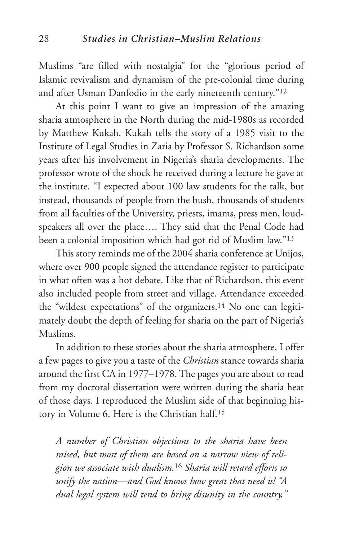Muslims "are filled with nostalgia" for the "glorious period of Islamic revivalism and dynamism of the pre-colonial time during and after Usman Danfodio in the early nineteenth century."12

At this point I want to give an impression of the amazing sharia atmosphere in the North during the mid-1980s as recorded by Matthew Kukah. Kukah tells the story of a 1985 visit to the Institute of Legal Studies in Zaria by Professor S. Richardson some years after his involvement in Nigeria's sharia developments. The professor wrote of the shock he received during a lecture he gave at the institute. "I expected about 100 law students for the talk, but instead, thousands of people from the bush, thousands of students from all faculties of the University, priests, imams, press men, loudspeakers all over the place…. They said that the Penal Code had been a colonial imposition which had got rid of Muslim law."13

This story reminds me of the 2004 sharia conference at Unijos, where over 900 people signed the attendance register to participate in what often was a hot debate. Like that of Richardson, this event also included people from street and village. Attendance exceeded the "wildest expectations" of the organizers.14 No one can legitimately doubt the depth of feeling for sharia on the part of Nigeria's Muslims.

In addition to these stories about the sharia atmosphere, I offer a few pages to give you a taste of the *Christian* stance towards sharia around the first CA in 1977–1978. The pages you are about to read from my doctoral dissertation were written during the sharia heat of those days. I reproduced the Muslim side of that beginning history in Volume 6. Here is the Christian half.15

*A number of Christian objections to the sharia have been raised, but most of them are based on a narrow view of religion we associate with dualism.*<sup>16</sup> *Sharia will retard efforts to unify the nation—and God knows how great that need is! "A dual legal system will tend to bring disunity in the country,"*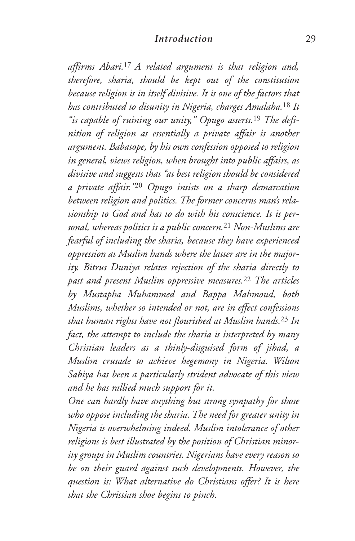*affirms Abari.*17 *A related argument is that religion and, therefore, sharia, should be kept out of the constitution because religion is in itself divisive. It is one of the factors that has contributed to disunity in Nigeria, charges Amalaha.*<sup>18</sup> *It "is capable of ruining our unity," Opugo asserts.*<sup>19</sup> *The definition of religion as essentially a private affair is another argument. Babatope, by his own confession opposed to religion in general, views religion, when brought into public affairs, as divisive and suggests that "at best religion should be considered a private affair."*<sup>20</sup> *Opugo insists on a sharp demarcation between religion and politics. The former concerns man's relationship to God and has to do with his conscience. It is personal, whereas politics is a public concern.*<sup>21</sup> *Non-Muslims are fearful of including the sharia, because they have experienced oppression at Muslim hands where the latter are in the majority. Bitrus Duniya relates rejection of the sharia directly to past and present Muslim oppressive measures.*<sup>22</sup> *The articles by Mustapha Muhammed and Bappa Mahmoud, both Muslims, whether so intended or not, are in effect confessions that human rights have not flourished at Muslim hands.*<sup>23</sup> *In fact, the attempt to include the sharia is interpreted by many Christian leaders as a thinly-disguised form of jihad, a Muslim crusade to achieve hegemony in Nigeria. Wilson Sabiya has been a particularly strident advocate of this view and he has rallied much support for it.*

*One can hardly have anything but strong sympathy for those who oppose including the sharia. The need for greater unity in Nigeria is overwhelming indeed. Muslim intolerance of other religions is best illustrated by the position of Christian minority groups in Muslim countries. Nigerians have every reason to be on their guard against such developments. However, the question is: What alternative do Christians offer? It is here that the Christian shoe begins to pinch.*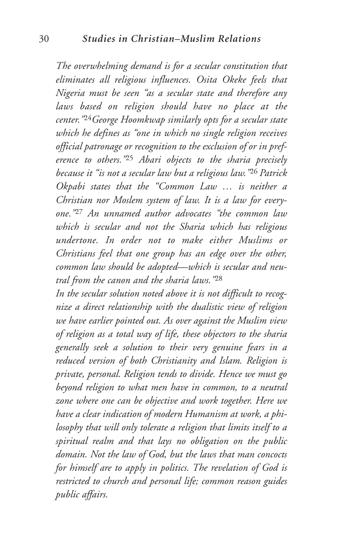*The overwhelming demand is for a secular constitution that eliminates all religious influences. Osita Okeke feels that Nigeria must be seen "as a secular state and therefore any laws based on religion should have no place at the center."*24*George Hoomkwap similarly opts for a secular state which he defines as "one in which no single religion receives official patronage or recognition to the exclusion of or in preference to others."*<sup>25</sup> *Abari objects to the sharia precisely because it "is not a secular law but a religious law."*<sup>26</sup> *Patrick Okpabi states that the "Common Law … is neither a Christian nor Moslem system of law. It is a law for everyone."*<sup>27</sup> *An unnamed author advocates "the common law which is secular and not the Sharia which has religious undertone. In order not to make either Muslims or Christians feel that one group has an edge over the other, common law should be adopted—which is secular and neutral from the canon and the sharia laws."*<sup>28</sup>

*In the secular solution noted above it is not difficult to recognize a direct relationship with the dualistic view of religion we have earlier pointed out. As over against the Muslim view of religion as a total way of life, these objectors to the sharia generally seek a solution to their very genuine fears in a reduced version of both Christianity and Islam. Religion is private, personal. Religion tends to divide. Hence we must go beyond religion to what men have in common, to a neutral zone where one can be objective and work together. Here we have a clear indication of modern Humanism at work, a philosophy that will only tolerate a religion that limits itself to a spiritual realm and that lays no obligation on the public domain. Not the law of God, but the laws that man concocts for himself are to apply in politics. The revelation of God is restricted to church and personal life; common reason guides public affairs.*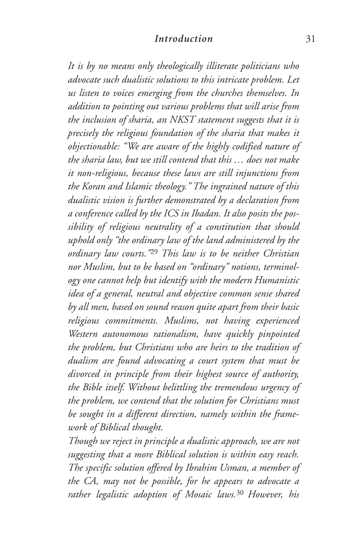*It is by no means only theologically illiterate politicians who advocate such dualistic solutions to this intricate problem. Let us listen to voices emerging from the churches themselves. In addition to pointing out various problems that will arise from the inclusion of sharia, an NKST statement suggests that it is precisely the religious foundation of the sharia that makes it objectionable: "We are aware of the highly codified nature of the sharia law, but we still contend that this … does not make it non-religious, because these laws are still injunctions from the Koran and Islamic theology." The ingrained nature of this dualistic vision is further demonstrated by a declaration from a conference called by the ICS in Ibadan. It also posits the possibility of religious neutrality of a constitution that should uphold only "the ordinary law of the land administered by the ordinary law courts."*<sup>29</sup> *This law is to be neither Christian nor Muslim, but to be based on "ordinary" notions, terminology one cannot help but identify with the modern Humanistic idea of a general, neutral and objective common sense shared by all men, based on sound reason quite apart from their basic religious commitments. Muslims, not having experienced Western autonomous rationalism, have quickly pinpointed the problem, but Christians who are heirs to the tradition of dualism are found advocating a court system that must be divorced in principle from their highest source of authority, the Bible itself. Without belittling the tremendous urgency of the problem, we contend that the solution for Christians must be sought in a different direction, namely within the framework of Biblical thought.*

*Though we reject in principle a dualistic approach, we are not suggesting that a more Biblical solution is within easy reach. The specific solution offered by Ibrahim Usman, a member of the CA, may not be possible, for he appears to advocate a rather legalistic adoption of Mosaic laws.*<sup>30</sup> *However, his*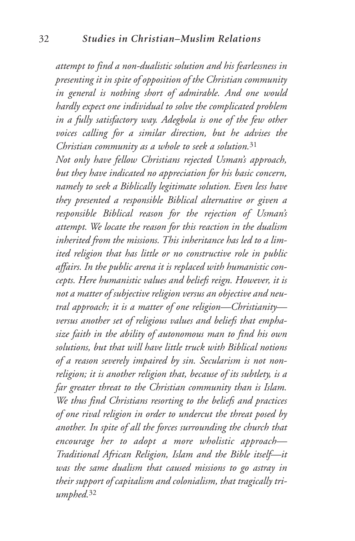*attempt to find a non-dualistic solution and his fearlessness in presenting it in spite of opposition of the Christian community in general is nothing short of admirable. And one would hardly expect one individual to solve the complicated problem in a fully satisfactory way. Adegbola is one of the few other voices calling for a similar direction, but he advises the Christian community as a whole to seek a solution.*<sup>31</sup>

*Not only have fellow Christians rejected Usman's approach, but they have indicated no appreciation for his basic concern, namely to seek a Biblically legitimate solution. Even less have they presented a responsible Biblical alternative or given a responsible Biblical reason for the rejection of Usman's attempt. We locate the reason for this reaction in the dualism inherited from the missions. This inheritance has led to a limited religion that has little or no constructive role in public affairs. In the public arena it is replaced with humanistic concepts. Here humanistic values and beliefs reign. However, it is not a matter of subjective religion versus an objective and neutral approach; it is a matter of one religion—Christianity versus another set of religious values and beliefs that emphasize faith in the ability of autonomous man to find his own solutions, but that will have little truck with Biblical notions of a reason severely impaired by sin. Secularism is not nonreligion; it is another religion that, because of its subtlety, is a far greater threat to the Christian community than is Islam. We thus find Christians resorting to the beliefs and practices of one rival religion in order to undercut the threat posed by another. In spite of all the forces surrounding the church that encourage her to adopt a more wholistic approach— Traditional African Religion, Islam and the Bible itself—it was the same dualism that caused missions to go astray in their support of capitalism and colonialism, that tragically triumphed.*<sup>32</sup>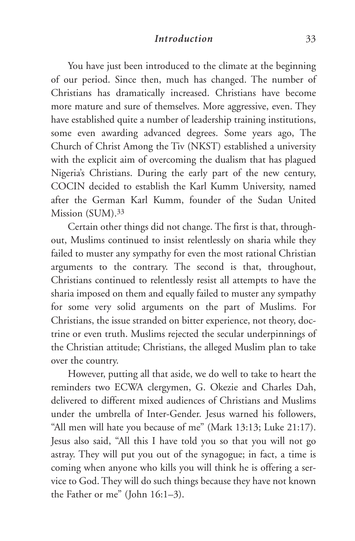You have just been introduced to the climate at the beginning of our period. Since then, much has changed. The number of Christians has dramatically increased. Christians have become more mature and sure of themselves. More aggressive, even. They have established quite a number of leadership training institutions, some even awarding advanced degrees. Some years ago, The Church of Christ Among the Tiv (NKST) established a university with the explicit aim of overcoming the dualism that has plagued Nigeria's Christians. During the early part of the new century, COCIN decided to establish the Karl Kumm University, named after the German Karl Kumm, founder of the Sudan United Mission (SUM).33

Certain other things did not change. The first is that, throughout, Muslims continued to insist relentlessly on sharia while they failed to muster any sympathy for even the most rational Christian arguments to the contrary. The second is that, throughout, Christians continued to relentlessly resist all attempts to have the sharia imposed on them and equally failed to muster any sympathy for some very solid arguments on the part of Muslims. For Christians, the issue stranded on bitter experience, not theory, doctrine or even truth. Muslims rejected the secular underpinnings of the Christian attitude; Christians, the alleged Muslim plan to take over the country.

However, putting all that aside, we do well to take to heart the reminders two ECWA clergymen, G. Okezie and Charles Dah, delivered to different mixed audiences of Christians and Muslims under the umbrella of Inter-Gender. Jesus warned his followers, "All men will hate you because of me" (Mark 13:13; Luke 21:17). Jesus also said, "All this I have told you so that you will not go astray. They will put you out of the synagogue; in fact, a time is coming when anyone who kills you will think he is offering a service to God. They will do such things because they have not known the Father or me" (John 16:1–3).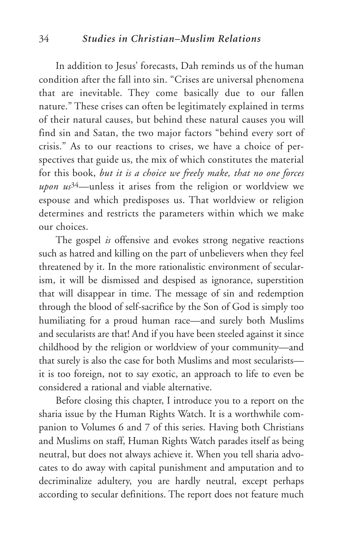In addition to Jesus' forecasts, Dah reminds us of the human condition after the fall into sin. "Crises are universal phenomena that are inevitable. They come basically due to our fallen nature." These crises can often be legitimately explained in terms of their natural causes, but behind these natural causes you will find sin and Satan, the two major factors "behind every sort of crisis." As to our reactions to crises, we have a choice of perspectives that guide us, the mix of which constitutes the material for this book, *but it is a choice we freely make, that no one forces upon us*34—unless it arises from the religion or worldview we espouse and which predisposes us. That worldview or religion determines and restricts the parameters within which we make our choices.

The gospel *is* offensive and evokes strong negative reactions such as hatred and killing on the part of unbelievers when they feel threatened by it. In the more rationalistic environment of secularism, it will be dismissed and despised as ignorance, superstition that will disappear in time. The message of sin and redemption through the blood of self-sacrifice by the Son of God is simply too humiliating for a proud human race—and surely both Muslims and secularists are that! And if you have been steeled against it since childhood by the religion or worldview of your community—and that surely is also the case for both Muslims and most secularists it is too foreign, not to say exotic, an approach to life to even be considered a rational and viable alternative.

Before closing this chapter, I introduce you to a report on the sharia issue by the Human Rights Watch. It is a worthwhile companion to Volumes 6 and 7 of this series. Having both Christians and Muslims on staff, Human Rights Watch parades itself as being neutral, but does not always achieve it. When you tell sharia advocates to do away with capital punishment and amputation and to decriminalize adultery, you are hardly neutral, except perhaps according to secular definitions. The report does not feature much